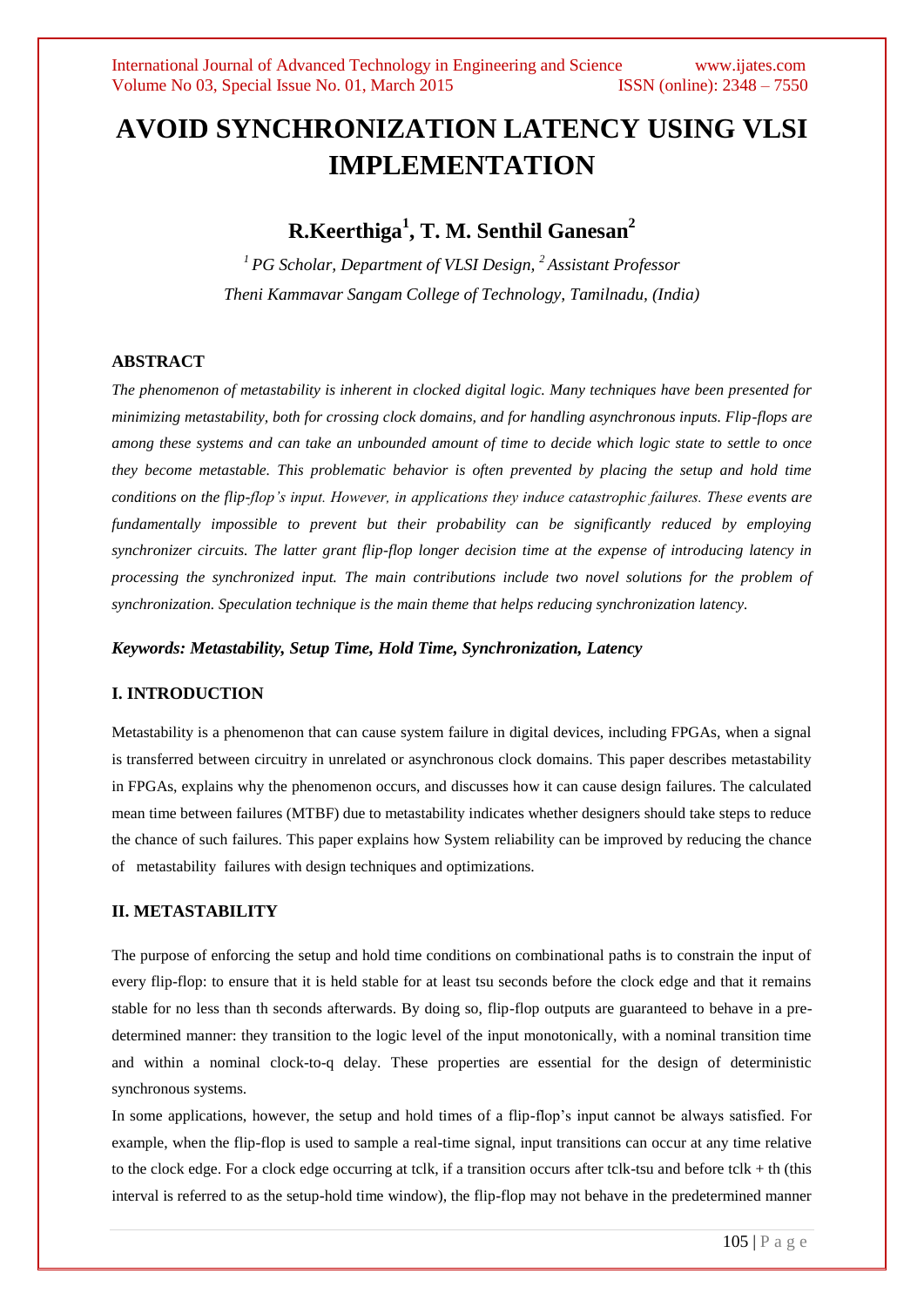# **AVOID SYNCHRONIZATION LATENCY USING VLSI IMPLEMENTATION**

# **R.Keerthiga<sup>1</sup> , T. M. Senthil Ganesan<sup>2</sup>**

*<sup>1</sup>PG Scholar, Department of VLSI Design, <sup>2</sup> Assistant Professor Theni Kammavar Sangam College of Technology, Tamilnadu, (India)*

# **ABSTRACT**

*The phenomenon of metastability is inherent in clocked digital logic. Many techniques have been presented for minimizing metastability, both for crossing clock domains, and for handling asynchronous inputs. Flip-flops are among these systems and can take an unbounded amount of time to decide which logic state to settle to once they become metastable. This problematic behavior is often prevented by placing the setup and hold time conditions on the flip-flop's input. However, in applications they induce catastrophic failures. These events are fundamentally impossible to prevent but their probability can be significantly reduced by employing synchronizer circuits. The latter grant flip-flop longer decision time at the expense of introducing latency in processing the synchronized input. The main contributions include two novel solutions for the problem of synchronization. Speculation technique is the main theme that helps reducing synchronization latency.*

*Keywords: Metastability, Setup Time, Hold Time, Synchronization, Latency* 

# **I. INTRODUCTION**

Metastability is a phenomenon that can cause system failure in digital devices, including FPGAs, when a signal is transferred between circuitry in unrelated or asynchronous clock domains. This paper describes metastability in FPGAs, explains why the phenomenon occurs, and discusses how it can cause design failures. The calculated mean time between failures (MTBF) due to metastability indicates whether designers should take steps to reduce the chance of such failures. This paper explains how System reliability can be improved by reducing the chance of metastability failures with design techniques and optimizations.

# **II. METASTABILITY**

The purpose of enforcing the setup and hold time conditions on combinational paths is to constrain the input of every flip-flop: to ensure that it is held stable for at least tsu seconds before the clock edge and that it remains stable for no less than th seconds afterwards. By doing so, flip-flop outputs are guaranteed to behave in a predetermined manner: they transition to the logic level of the input monotonically, with a nominal transition time and within a nominal clock-to-q delay. These properties are essential for the design of deterministic synchronous systems.

In some applications, however, the setup and hold times of a flip-flop's input cannot be always satisfied. For example, when the flip-flop is used to sample a real-time signal, input transitions can occur at any time relative to the clock edge. For a clock edge occurring at tclk, if a transition occurs after tclk-tsu and before tclk + th (this interval is referred to as the setup-hold time window), the flip-flop may not behave in the predetermined manner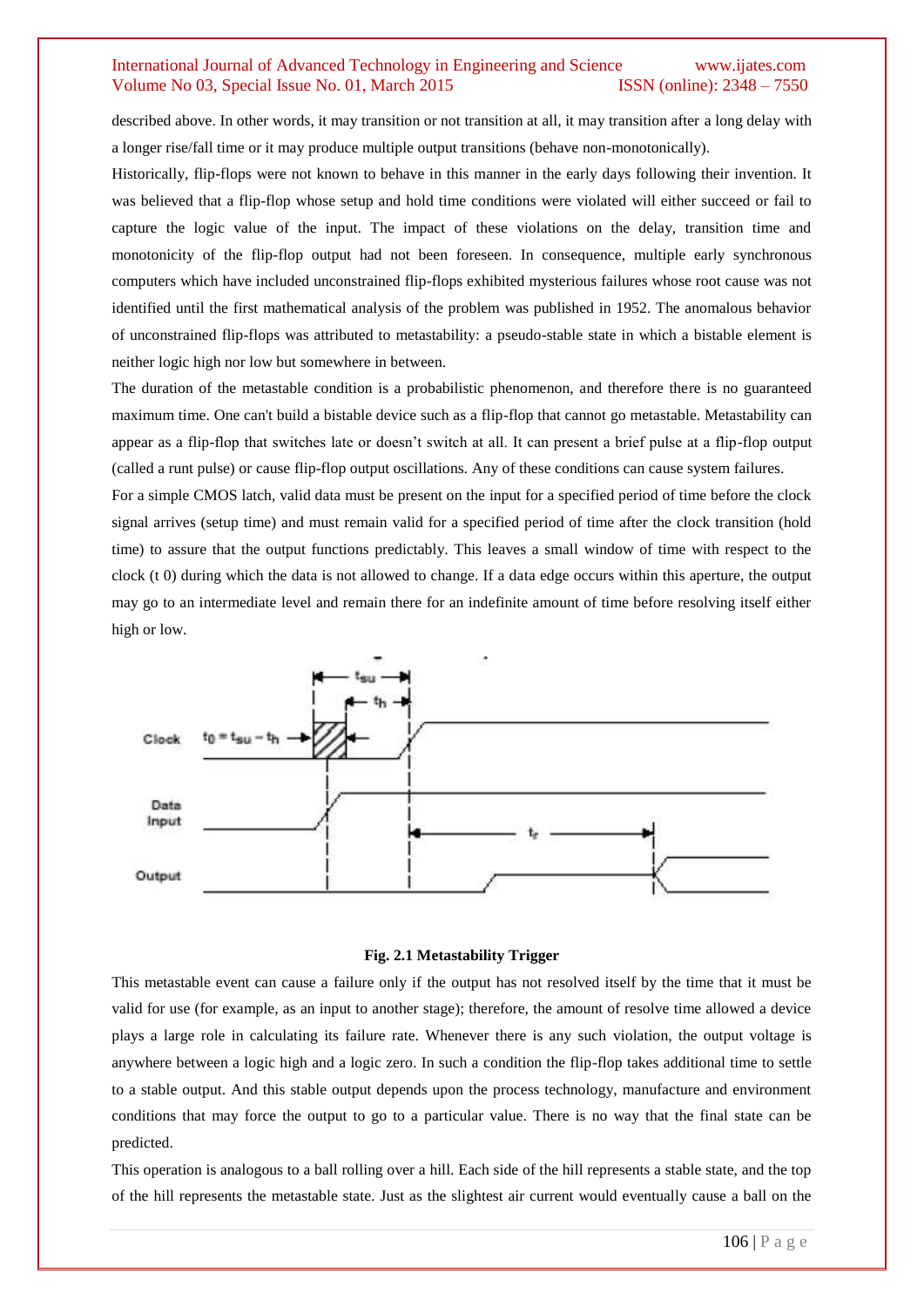described above. In other words, it may transition or not transition at all, it may transition after a long delay with a longer rise/fall time or it may produce multiple output transitions (behave non-monotonically).

Historically, flip-flops were not known to behave in this manner in the early days following their invention. It was believed that a flip-flop whose setup and hold time conditions were violated will either succeed or fail to capture the logic value of the input. The impact of these violations on the delay, transition time and monotonicity of the flip-flop output had not been foreseen. In consequence, multiple early synchronous computers which have included unconstrained flip-flops exhibited mysterious failures whose root cause was not identified until the first mathematical analysis of the problem was published in 1952. The anomalous behavior of unconstrained flip-flops was attributed to metastability: a pseudo-stable state in which a bistable element is neither logic high nor low but somewhere in between.

The duration of the metastable condition is a probabilistic phenomenon, and therefore there is no guaranteed maximum time. One can't build a bistable device such as a flip-flop that cannot go metastable. Metastability can appear as a flip-flop that switches late or doesn't switch at all. It can present a brief pulse at a flip-flop output (called a runt pulse) or cause flip-flop output oscillations. Any of these conditions can cause system failures.

For a simple CMOS latch, valid data must be present on the input for a specified period of time before the clock signal arrives (setup time) and must remain valid for a specified period of time after the clock transition (hold time) to assure that the output functions predictably. This leaves a small window of time with respect to the clock  $(t\ 0)$  during which the data is not allowed to change. If a data edge occurs within this aperture, the output may go to an intermediate level and remain there for an indefinite amount of time before resolving itself either high or low.



#### **Fig. 2.1 Metastability Trigger**

This metastable event can cause a failure only if the output has not resolved itself by the time that it must be valid for use (for example, as an input to another stage); therefore, the amount of resolve time allowed a device plays a large role in calculating its failure rate. Whenever there is any such violation, the output voltage is anywhere between a logic high and a logic zero. In such a condition the flip-flop takes additional time to settle to a stable output. And this stable output depends upon the process technology, manufacture and environment conditions that may force the output to go to a particular value. There is no way that the final state can be predicted.

This operation is analogous to a ball rolling over a hill. Each side of the hill represents a stable state, and the top of the hill represents the metastable state. Just as the slightest air current would eventually cause a ball on the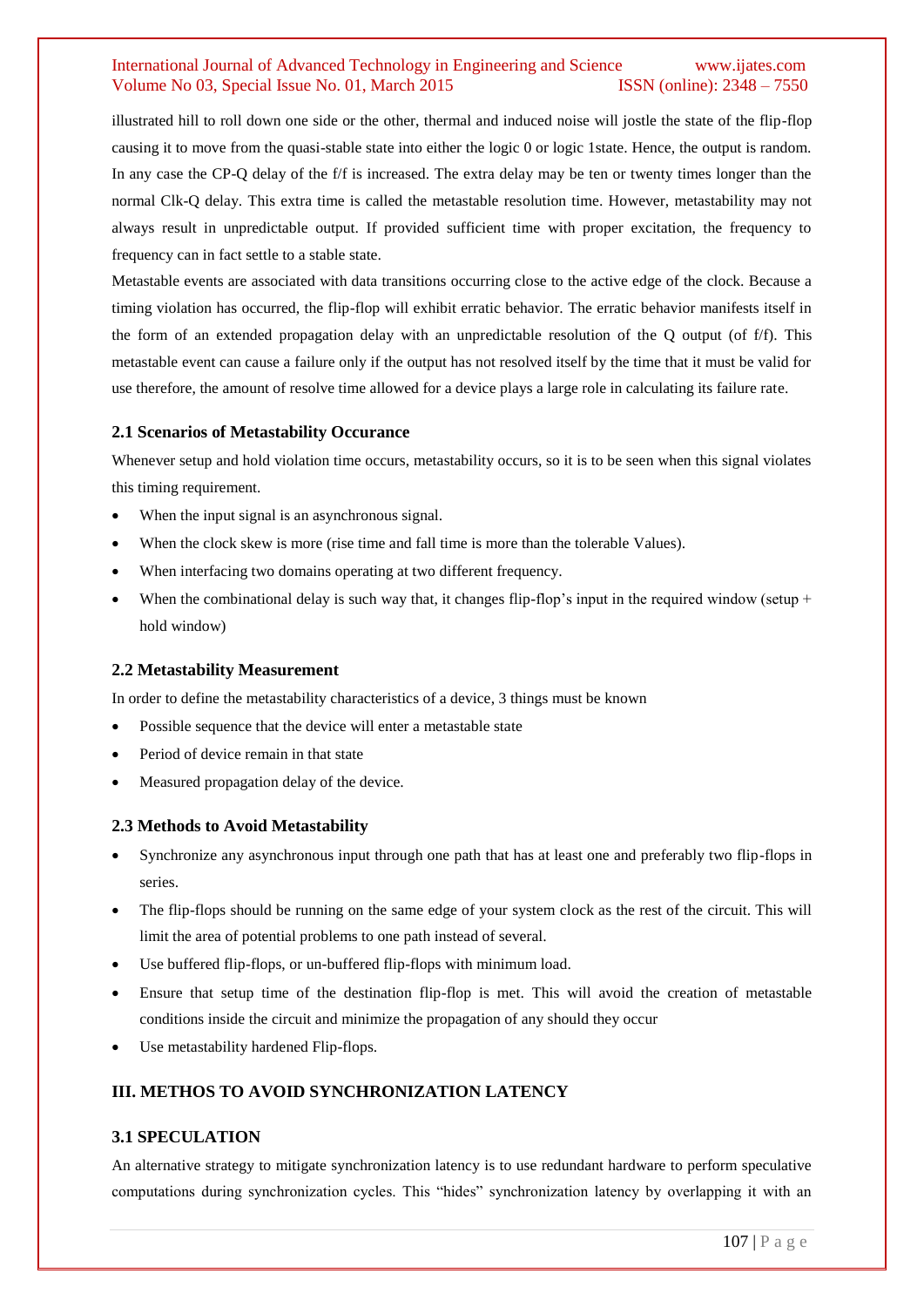illustrated hill to roll down one side or the other, thermal and induced noise will jostle the state of the flip-flop causing it to move from the quasi-stable state into either the logic 0 or logic 1state. Hence, the output is random. In any case the CP-Q delay of the f/f is increased. The extra delay may be ten or twenty times longer than the normal Clk-Q delay. This extra time is called the metastable resolution time. However, metastability may not always result in unpredictable output. If provided sufficient time with proper excitation, the frequency to frequency can in fact settle to a stable state.

Metastable events are associated with data transitions occurring close to the active edge of the clock. Because a timing violation has occurred, the flip-flop will exhibit erratic behavior. The erratic behavior manifests itself in the form of an extended propagation delay with an unpredictable resolution of the Q output (of f/f). This metastable event can cause a failure only if the output has not resolved itself by the time that it must be valid for use therefore, the amount of resolve time allowed for a device plays a large role in calculating its failure rate.

#### **2.1 Scenarios of Metastability Occurance**

Whenever setup and hold violation time occurs, metastability occurs, so it is to be seen when this signal violates this timing requirement.

- When the input signal is an asynchronous signal.
- When the clock skew is more (rise time and fall time is more than the tolerable Values).
- When interfacing two domains operating at two different frequency.
- When the combinational delay is such way that, it changes flip-flop's input in the required window (setup  $+$ hold window)

#### **2.2 Metastability Measurement**

In order to define the metastability characteristics of a device, 3 things must be known

- Possible sequence that the device will enter a metastable state
- Period of device remain in that state
- Measured propagation delay of the device.

#### **2.3 Methods to Avoid Metastability**

- Synchronize any asynchronous input through one path that has at least one and preferably two flip-flops in series.
- The flip-flops should be running on the same edge of your system clock as the rest of the circuit. This will limit the area of potential problems to one path instead of several.
- Use buffered flip-flops, or un-buffered flip-flops with minimum load.
- Ensure that setup time of the destination flip-flop is met. This will avoid the creation of metastable conditions inside the circuit and minimize the propagation of any should they occur
- Use metastability hardened Flip-flops.

#### **III. METHOS TO AVOID SYNCHRONIZATION LATENCY**

#### **3.1 SPECULATION**

An alternative strategy to mitigate synchronization latency is to use redundant hardware to perform speculative computations during synchronization cycles. This "hides" synchronization latency by overlapping it with an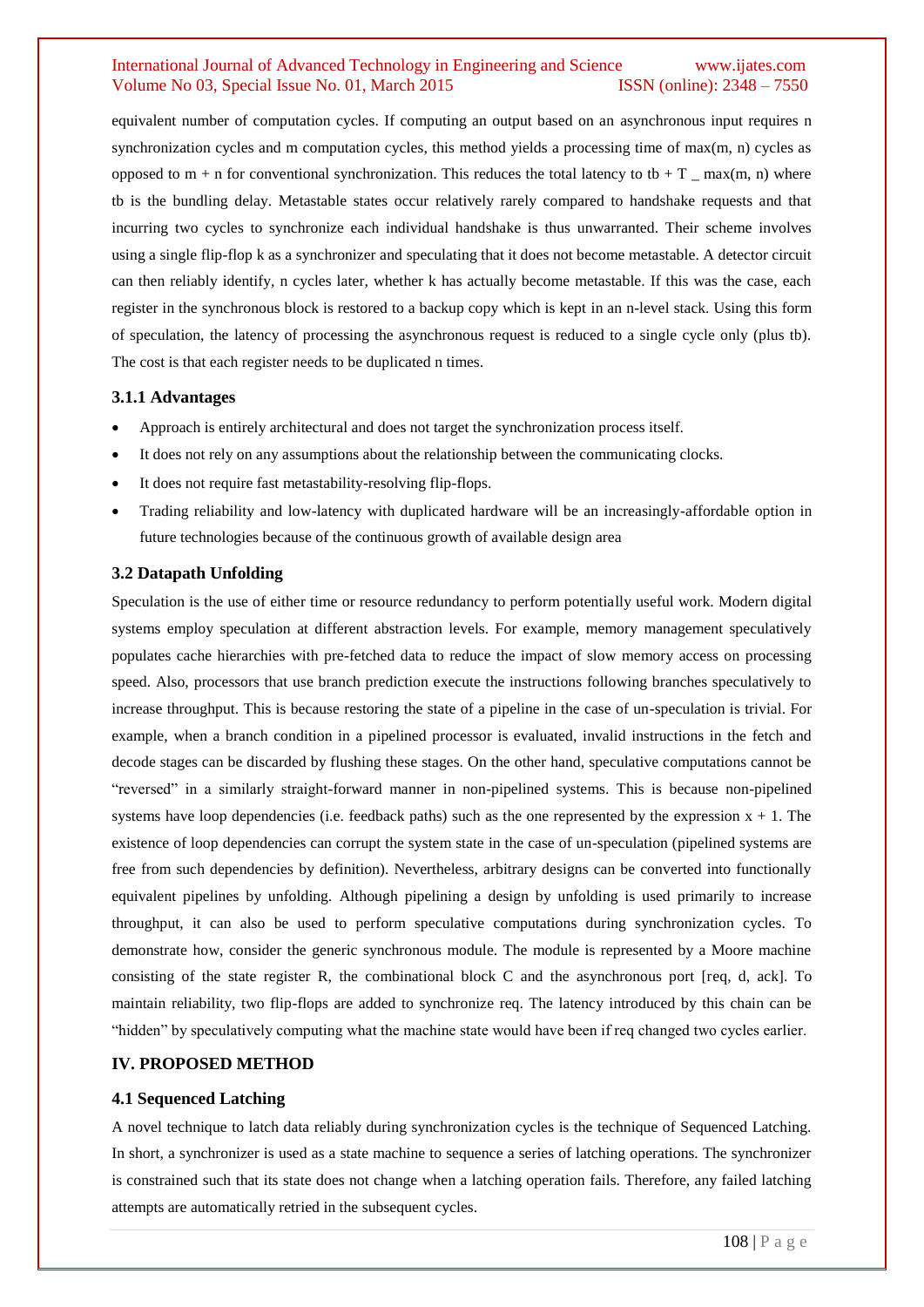equivalent number of computation cycles. If computing an output based on an asynchronous input requires n synchronization cycles and m computation cycles, this method yields a processing time of max(m, n) cycles as opposed to  $m + n$  for conventional synchronization. This reduces the total latency to tb + T \_ max(m, n) where tb is the bundling delay. Metastable states occur relatively rarely compared to handshake requests and that incurring two cycles to synchronize each individual handshake is thus unwarranted. Their scheme involves using a single flip-flop k as a synchronizer and speculating that it does not become metastable. A detector circuit can then reliably identify, n cycles later, whether k has actually become metastable. If this was the case, each register in the synchronous block is restored to a backup copy which is kept in an n-level stack. Using this form of speculation, the latency of processing the asynchronous request is reduced to a single cycle only (plus tb). The cost is that each register needs to be duplicated n times.

#### **3.1.1 Advantages**

- Approach is entirely architectural and does not target the synchronization process itself.
- It does not rely on any assumptions about the relationship between the communicating clocks.
- It does not require fast metastability-resolving flip-flops.
- Trading reliability and low-latency with duplicated hardware will be an increasingly-affordable option in future technologies because of the continuous growth of available design area

### **3.2 Datapath Unfolding**

Speculation is the use of either time or resource redundancy to perform potentially useful work. Modern digital systems employ speculation at different abstraction levels. For example, memory management speculatively populates cache hierarchies with pre-fetched data to reduce the impact of slow memory access on processing speed. Also, processors that use branch prediction execute the instructions following branches speculatively to increase throughput. This is because restoring the state of a pipeline in the case of un-speculation is trivial. For example, when a branch condition in a pipelined processor is evaluated, invalid instructions in the fetch and decode stages can be discarded by flushing these stages. On the other hand, speculative computations cannot be "reversed" in a similarly straight-forward manner in non-pipelined systems. This is because non-pipelined systems have loop dependencies (i.e. feedback paths) such as the one represented by the expression  $x + 1$ . The existence of loop dependencies can corrupt the system state in the case of un-speculation (pipelined systems are free from such dependencies by definition). Nevertheless, arbitrary designs can be converted into functionally equivalent pipelines by unfolding. Although pipelining a design by unfolding is used primarily to increase throughput, it can also be used to perform speculative computations during synchronization cycles. To demonstrate how, consider the generic synchronous module. The module is represented by a Moore machine consisting of the state register R, the combinational block C and the asynchronous port [req, d, ack]. To maintain reliability, two flip-flops are added to synchronize req. The latency introduced by this chain can be "hidden" by speculatively computing what the machine state would have been if req changed two cycles earlier.

## **IV. PROPOSED METHOD**

#### **4.1 Sequenced Latching**

A novel technique to latch data reliably during synchronization cycles is the technique of Sequenced Latching. In short, a synchronizer is used as a state machine to sequence a series of latching operations. The synchronizer is constrained such that its state does not change when a latching operation fails. Therefore, any failed latching attempts are automatically retried in the subsequent cycles.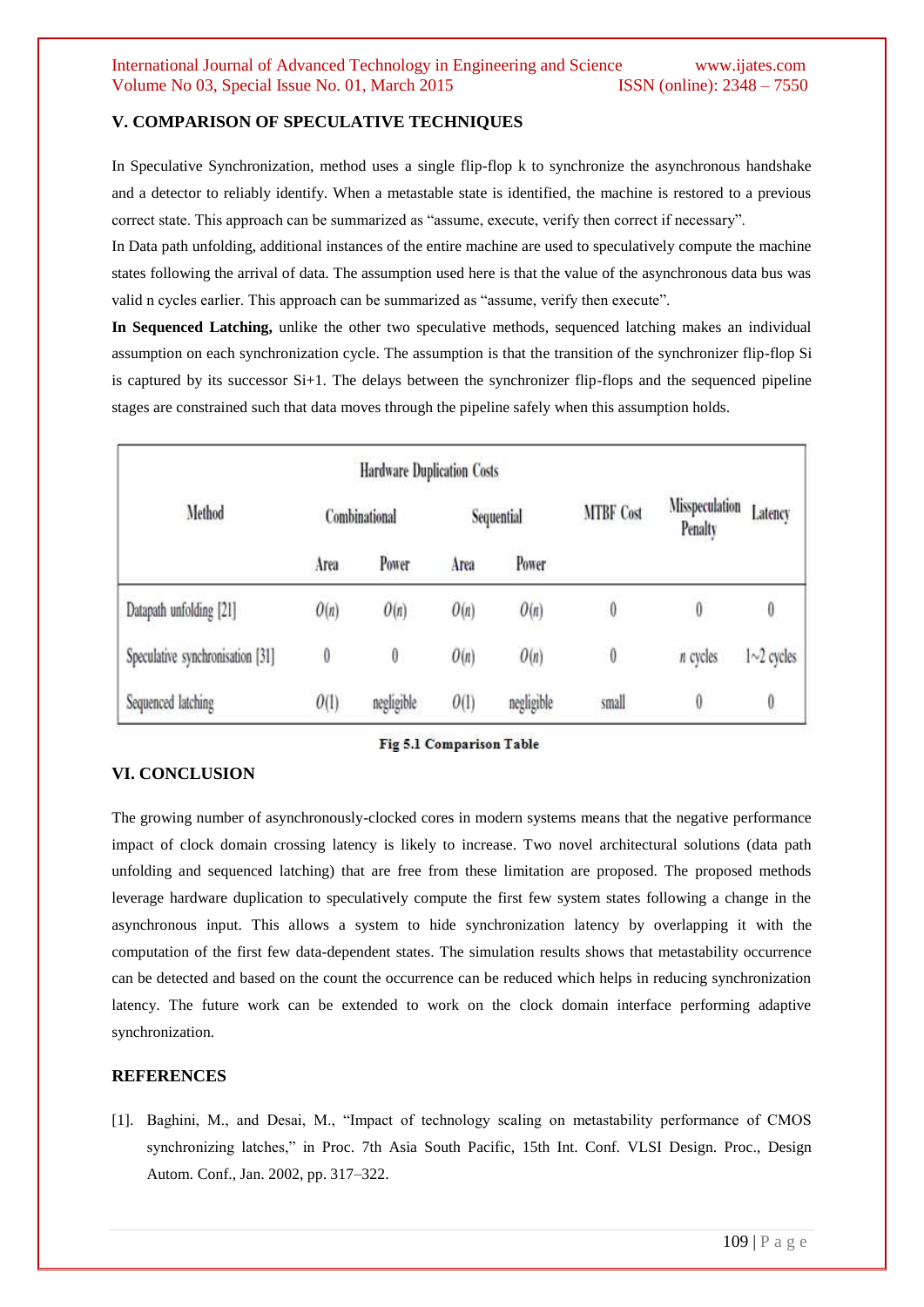# **V. COMPARISON OF SPECULATIVE TECHNIQUES**

In Speculative Synchronization, method uses a single flip-flop k to synchronize the asynchronous handshake and a detector to reliably identify. When a metastable state is identified, the machine is restored to a previous correct state. This approach can be summarized as "assume, execute, verify then correct if necessary".

In Data path unfolding, additional instances of the entire machine are used to speculatively compute the machine states following the arrival of data. The assumption used here is that the value of the asynchronous data bus was valid n cycles earlier. This approach can be summarized as "assume, verify then execute".

**In Sequenced Latching,** unlike the other two speculative methods, sequenced latching makes an individual assumption on each synchronization cycle. The assumption is that the transition of the synchronizer flip-flop Si is captured by its successor Si+1. The delays between the synchronizer flip-flops and the sequenced pipeline stages are constrained such that data moves through the pipeline safely when this assumption holds.

|                                  | <b>Hardware Duplication Costs</b> |            |            |            |                  |                           |              |
|----------------------------------|-----------------------------------|------------|------------|------------|------------------|---------------------------|--------------|
| Method                           | Combinational                     |            | Sequential |            | <b>MTBF Cost</b> | Misspeculation<br>Penalty | Latency      |
|                                  | Area                              | Power      | Area       | Power      |                  |                           |              |
| Datapath unfolding [21]          | O(n)                              | O(n)       | O(n)       | O(n)       | $\boldsymbol{0}$ | 0                         | 0            |
| Speculative synchronisation [31] | $\boldsymbol{0}$                  | $\theta$   | O(n)       | O(n)       | $\boldsymbol{0}$ | $n$ cycles                | $1~2$ cycles |
| Sequenced latching               | O(1)                              | negligible | O(1)       | negligible | small            | $\boldsymbol{0}$          | 0            |

#### Fig 5.1 Comparison Table

# **VI. CONCLUSION**

The growing number of asynchronously-clocked cores in modern systems means that the negative performance impact of clock domain crossing latency is likely to increase. Two novel architectural solutions (data path unfolding and sequenced latching) that are free from these limitation are proposed. The proposed methods leverage hardware duplication to speculatively compute the first few system states following a change in the asynchronous input. This allows a system to hide synchronization latency by overlapping it with the computation of the first few data-dependent states. The simulation results shows that metastability occurrence can be detected and based on the count the occurrence can be reduced which helps in reducing synchronization latency. The future work can be extended to work on the clock domain interface performing adaptive synchronization.

# **REFERENCES**

[1]. Baghini, M., and Desai, M., "Impact of technology scaling on metastability performance of CMOS synchronizing latches," in Proc. 7th Asia South Pacific, 15th Int. Conf. VLSI Design. Proc., Design Autom. Conf., Jan. 2002, pp. 317–322.